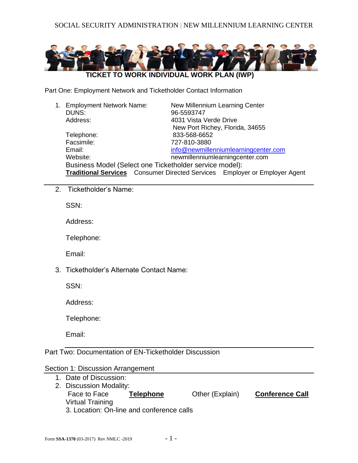

Part One: Employment Network and Ticketholder Contact Information

|  | 1. Employment Network Name:                             | New Millennium Learning Center                                                    |  |  |
|--|---------------------------------------------------------|-----------------------------------------------------------------------------------|--|--|
|  | DUNS:                                                   | 96-5593747                                                                        |  |  |
|  | Address:                                                | 4031 Vista Verde Drive                                                            |  |  |
|  |                                                         | New Port Richey, Florida, 34655                                                   |  |  |
|  | Telephone:                                              | 833-568-6652                                                                      |  |  |
|  | Facsimile:                                              | 727-810-3880                                                                      |  |  |
|  | Email:                                                  | info@newmillenniumlearningcenter.com                                              |  |  |
|  | Website:                                                | newmillenniumlearningcenter.com                                                   |  |  |
|  | Business Model (Select one Ticketholder service model): |                                                                                   |  |  |
|  |                                                         | <b>Traditional Services</b> Consumer Directed Services Employer or Employer Agent |  |  |

2. Ticketholder's Name:

SSN:

Address:

Telephone:

Email:

3. Ticketholder's Alternate Contact Name:

SSN:

Address:

Telephone:

Email:

Part Two: Documentation of EN-Ticketholder Discussion

# Section 1: Discussion Arrangement

1. Date of Discussion: 2. Discussion Modality: Face to Face **Telephone** Other (Explain) **Conference Call** Virtual Training 3. Location: On-line and conference calls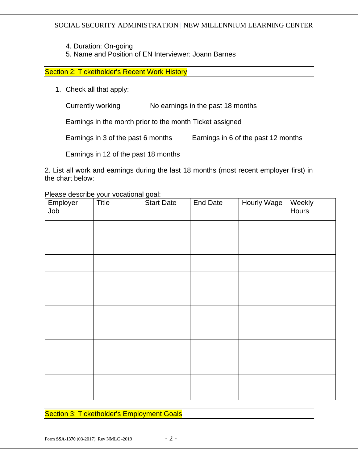4. Duration: On-going

5. Name and Position of EN Interviewer: Joann Barnes

Section 2: Ticketholder's Recent Work History

1. Check all that apply:

Currently working No earnings in the past 18 months

Earnings in the month prior to the month Ticket assigned

Earnings in 3 of the past 6 months Earnings in 6 of the past 12 months

Earnings in 12 of the past 18 months

2. List all work and earnings during the last 18 months (most recent employer first) in the chart below:

Please describe your vocational goal:

| Employer<br>Job | Title | <b>Start Date</b> | <b>End Date</b> | <b>Hourly Wage</b> | Weekly<br>Hours |
|-----------------|-------|-------------------|-----------------|--------------------|-----------------|
|                 |       |                   |                 |                    |                 |
|                 |       |                   |                 |                    |                 |
|                 |       |                   |                 |                    |                 |
|                 |       |                   |                 |                    |                 |
|                 |       |                   |                 |                    |                 |
|                 |       |                   |                 |                    |                 |
|                 |       |                   |                 |                    |                 |
|                 |       |                   |                 |                    |                 |
|                 |       |                   |                 |                    |                 |
|                 |       |                   |                 |                    |                 |

**Section 3: Ticketholder's Employment Goals**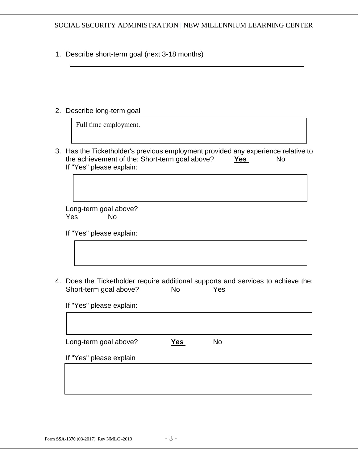1. Describe short-term goal (next 3-18 months)

2. Describe long-term goal

Full time employment.

3. Has the Ticketholder's previous employment provided any experience relative to the achievement of the: Short-term goal above? Yes No If "Yes" please explain:

Long-term goal above? Yes No

If "Yes" please explain:

4. Does the Ticketholder require additional supports and services to achieve the: Short-term goal above? No Yes

If "Yes" please explain:

Long-term goal above? **Yes** No

If "Yes" please explain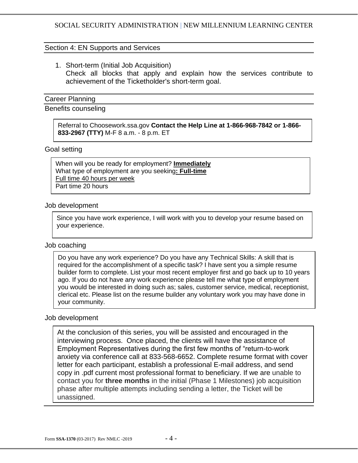#### Section 4: EN Supports and Services

1. Short-term (Initial Job Acquisition) Check all blocks that apply and explain how the services contribute to achievement of the Ticketholder's short-term goal.

#### Career Planning

Benefits counseling

Referral to Choosework.ssa.gov **Contact the Help Line at 1-866-968-7842 or 1-866- 833-2967 (TTY)** M-F 8 a.m. - 8 p.m. ET

#### Goal setting

When will you be ready for employment? **Immediately** What type of employment are you seeking**: Full-time** Full time 40 hours per week Part time 20 hours

#### Job development

Since you have work experience, I will work with you to develop your resume based on your experience.

#### Job coaching

Do you have any work experience? Do you have any Technical Skills: A skill that is required for the accomplishment of a specific task? I have sent you a simple resume builder form to complete. List your most recent employer first and go back up to 10 years ago. If you do not have any work experience please tell me what type of employment you would be interested in doing such as; sales, customer service, medical, receptionist, clerical etc. Please list on the resume builder any voluntary work you may have done in your community.

#### Job development

At the conclusion of this series, you will be assisted and encouraged in the interviewing process. Once placed, the clients will have the assistance of Employment Representatives during the first few months of "return-to-work anxiety via conference call at 833-568-6652. Complete resume format with cover letter for each participant, establish a professional E-mail address, and send copy in .pdf current most professional format to beneficiary. If we are unable to contact you for **three months** in the initial (Phase 1 Milestones) job acquisition phase after multiple attempts including sending a letter, the Ticket will be unassigned.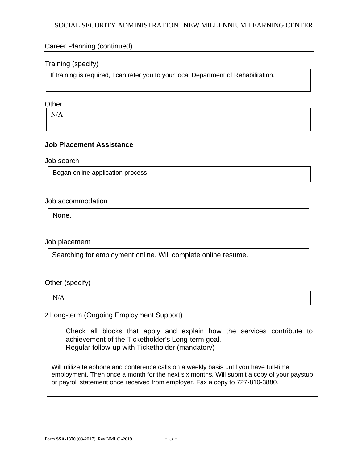# Career Planning (continued)

# Training (specify)

If training is required, I can refer you to your local Department of Rehabilitation.

# **Other**

N/A

# **Job Placement Assistance**

Job search

Began online application process.

Job accommodation

None.

Job placement

Searching for employment online. Will complete online resume.

Other (specify)

N/A

2.Long-term (Ongoing Employment Support)

Check all blocks that apply and explain how the services contribute to achievement of the Ticketholder's Long-term goal. Regular follow-up with Ticketholder (mandatory)

Will utilize telephone and conference calls on a weekly basis until you have full-time employment. Then once a month for the next six months. Will submit a copy of your paystub or payroll statement once received from employer. Fax a copy to 727-810-3880.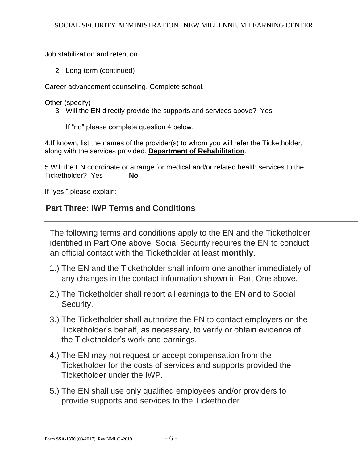Job stabilization and retention

2. Long-term (continued)

Career advancement counseling. Complete school.

Other (specify)

3. Will the EN directly provide the supports and services above? Yes

If "no" please complete question 4 below.

4.If known, list the names of the provider(s) to whom you will refer the Ticketholder, along with the services provided. **Department of Rehabilitation**.

5.Will the EN coordinate or arrange for medical and/or related health services to the Ticketholder? Yes **No**

If "yes," please explain:

# **Part Three: IWP Terms and Conditions**

The following terms and conditions apply to the EN and the Ticketholder identified in Part One above: Social Security requires the EN to conduct an official contact with the Ticketholder at least **monthly**.

- 1.) The EN and the Ticketholder shall inform one another immediately of any changes in the contact information shown in Part One above.
- 2.) The Ticketholder shall report all earnings to the EN and to Social Security.
- 3.) The Ticketholder shall authorize the EN to contact employers on the Ticketholder's behalf, as necessary, to verify or obtain evidence of the Ticketholder's work and earnings.
- 4.) The EN may not request or accept compensation from the Ticketholder for the costs of services and supports provided the Ticketholder under the IWP.
- 5.) The EN shall use only qualified employees and/or providers to provide supports and services to the Ticketholder.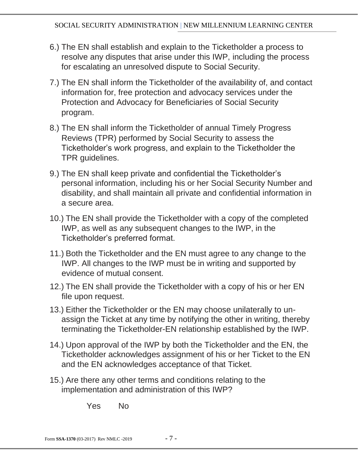- 6.) The EN shall establish and explain to the Ticketholder a process to resolve any disputes that arise under this IWP, including the process for escalating an unresolved dispute to Social Security.
- 7.) The EN shall inform the Ticketholder of the availability of, and contact information for, free protection and advocacy services under the Protection and Advocacy for Beneficiaries of Social Security program.
- 8.) The EN shall inform the Ticketholder of annual Timely Progress Reviews (TPR) performed by Social Security to assess the Ticketholder's work progress, and explain to the Ticketholder the TPR guidelines.
- 9.) The EN shall keep private and confidential the Ticketholder's personal information, including his or her Social Security Number and disability, and shall maintain all private and confidential information in a secure area.
- 10.) The EN shall provide the Ticketholder with a copy of the completed IWP, as well as any subsequent changes to the IWP, in the Ticketholder's preferred format.
- 11.) Both the Ticketholder and the EN must agree to any change to the IWP. All changes to the IWP must be in writing and supported by evidence of mutual consent.
- 12.) The EN shall provide the Ticketholder with a copy of his or her EN file upon request.
- 13.) Either the Ticketholder or the EN may choose unilaterally to unassign the Ticket at any time by notifying the other in writing, thereby terminating the Ticketholder-EN relationship established by the IWP.
- 14.) Upon approval of the IWP by both the Ticketholder and the EN, the Ticketholder acknowledges assignment of his or her Ticket to the EN and the EN acknowledges acceptance of that Ticket.
- 15.) Are there any other terms and conditions relating to the implementation and administration of this IWP?

Yes No